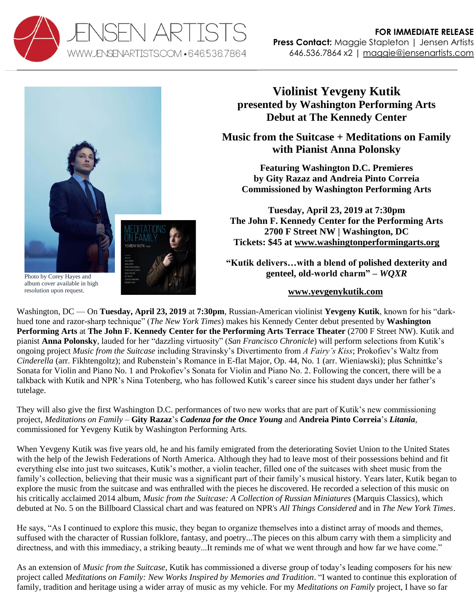



Photo by Corey Hayes and album cover available in high resolution upon request.

## **Violinist Yevgeny Kutik presented by Washington Performing Arts Debut at The Kennedy Center**

**Music from the Suitcase + Meditations on Family with Pianist Anna Polonsky**

**Featuring Washington D.C. Premieres by Gity Razaz and Andreia Pinto Correia Commissioned by Washington Performing Arts**

**Tuesday, April 23, 2019 at 7:30pm The John F. Kennedy Center for the Performing Arts 2700 F Street NW | Washington, DC Tickets: \$45 at [www.washingtonperformingarts.org](http://www.washingtonperformingarts.org/calendar/view.aspx?id=3797)**

**"Kutik delivers…with a blend of polished dexterity and genteel, old-world charm" –** *WQXR*

## **[www.yevgenykutik.com](http://www.yevgenykutik.com/)**

Washington, DC — On **Tuesday, April 23, 2019** at **7:30pm**, Russian-American violinist **Yevgeny Kutik**, known for his "darkhued tone and razor-sharp technique" (*The New York Times*) makes his Kennedy Center debut presented by **Washington Performing Arts** at **The John F. Kennedy Center for the Performing Arts Terrace Theater** (2700 F Street NW). Kutik and pianist **Anna Polonsky**, lauded for her "dazzling virtuosity" (*San Francisco Chronicle*) will perform selections from Kutik's ongoing project *Music from the Suitcase* including Stravinsky's Divertimento from *A Fairy's Kiss*; Prokofiev's Waltz from *Cinderella* (arr. Fikhtengoltz); and Rubenstein's Romance in E-flat Major, Op. 44, No. 1 (arr. Wieniawski); plus Schnittke's Sonata for Violin and Piano No. 1 and Prokofiev's Sonata for Violin and Piano No. 2. Following the concert, there will be a talkback with Kutik and NPR's Nina Totenberg, who has followed Kutik's career since his student days under her father's tutelage.

They will also give the first Washington D.C. performances of two new works that are part of Kutik's new commissioning project, *Meditations on Family* – **Gity Razaz**'s *Cadenza for the Once Young* and **Andreia Pinto Correia**'s *Litania*, commissioned for Yevgeny Kutik by Washington Performing Arts.

When Yevgeny Kutik was five years old, he and his family emigrated from the deteriorating Soviet Union to the United States with the help of the Jewish Federations of North America. Although they had to leave most of their possessions behind and fit everything else into just two suitcases, Kutik's mother, a violin teacher, filled one of the suitcases with sheet music from the family's collection, believing that their music was a significant part of their family's musical history. Years later, Kutik began to explore the music from the suitcase and was enthralled with the pieces he discovered. He recorded a selection of this music on his critically acclaimed 2014 album, *Music from the Suitcase: A Collection of Russian Miniatures* (Marquis Classics), which debuted at No. 5 on the Billboard Classical chart and was featured on NPR's *All Things Considered* and in *The New York Times*.

He says, "As I continued to explore this music, they began to organize themselves into a distinct array of moods and themes, suffused with the character of Russian folklore, fantasy, and poetry...The pieces on this album carry with them a simplicity and directness, and with this immediacy, a striking beauty...It reminds me of what we went through and how far we have come."

As an extension of *Music from the Suitcase*, Kutik has commissioned a diverse group of today's leading composers for his new project called *Meditations on Family: New Works Inspired by Memories and Tradition*. "I wanted to continue this exploration of family, tradition and heritage using a wider array of music as my vehicle. For my *Meditations on Family* project, I have so far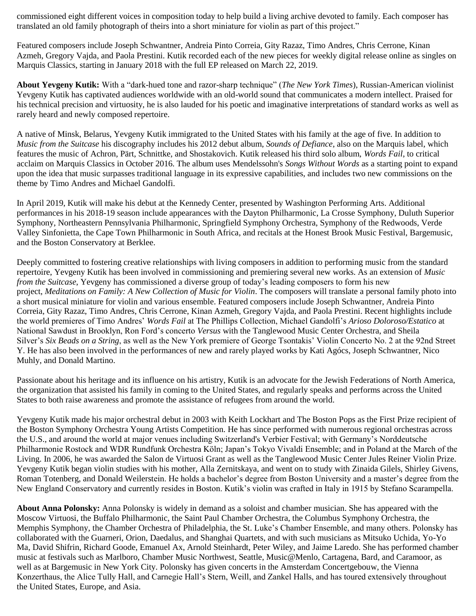commissioned eight different voices in composition today to help build a living archive devoted to family. Each composer has translated an old family photograph of theirs into a short miniature for violin as part of this project."

Featured composers include Joseph Schwantner, Andreia Pinto Correia, Gity Razaz, Timo Andres, Chris Cerrone, Kinan Azmeh, Gregory Vajda, and Paola Prestini. Kutik recorded each of the new pieces for weekly digital release online as singles on Marquis Classics, starting in January 2018 with the full EP released on March 22, 2019.

**About Yevgeny Kutik:** With a "dark-hued tone and razor-sharp technique" (*The New York Times*), Russian-American violinist Yevgeny Kutik has captivated audiences worldwide with an old-world sound that communicates a modern intellect. Praised for his technical precision and virtuosity, he is also lauded for his poetic and imaginative interpretations of standard works as well as rarely heard and newly composed repertoire.

A native of Minsk, Belarus, Yevgeny Kutik immigrated to the United States with his family at the age of five. In addition to *Music from the Suitcase* his discography includes his 2012 debut album, *Sounds of Defiance*, also on the Marquis label, which features the music of Achron, Pärt, Schnittke, and Shostakovich. Kutik released his third solo album, *Words Fail*, to critical acclaim on Marquis Classics in October 2016. The album uses Mendelssohn's *Songs Without Words* as a starting point to expand upon the idea that music surpasses traditional language in its expressive capabilities, and includes two new commissions on the theme by Timo Andres and Michael Gandolfi.

In April 2019, Kutik will make his debut at the Kennedy Center, presented by Washington Performing Arts. Additional performances in his 2018-19 season include appearances with the Dayton Philharmonic, La Crosse Symphony, Duluth Superior Symphony, Northeastern Pennsylvania Philharmonic, Springfield Symphony Orchestra, Symphony of the Redwoods, Verde Valley Sinfonietta, the Cape Town Philharmonic in South Africa, and recitals at the Honest Brook Music Festival, Bargemusic, and the Boston Conservatory at Berklee.

Deeply committed to fostering creative relationships with living composers in addition to performing music from the standard repertoire, Yevgeny Kutik has been involved in commissioning and premiering several new works. As an extension of *Music from the Suitcase*, Yevgeny has commissioned a diverse group of today's leading composers to form his new project, *Meditations on Family: A New Collection of Music for Violin*. The composers will translate a personal family photo into a short musical miniature for violin and various ensemble. Featured composers include Joseph Schwantner, Andreia Pinto Correia, Gity Razaz, Timo Andres, Chris Cerrone, Kinan Azmeh, Gregory Vajda, and Paola Prestini. Recent highlights include the world premieres of Timo Andres' *Words Fail* at The Phillips Collection, Michael Gandolfi's *Arioso Doloroso/Estatico* at National Sawdust in Brooklyn, Ron Ford's concerto *Versus* with the Tanglewood Music Center Orchestra, and Sheila Silver's *Six Beads on a String*, as well as the New York premiere of George Tsontakis' Violin Concerto No. 2 at the 92nd Street Y. He has also been involved in the performances of new and rarely played works by Kati Agócs, Joseph Schwantner, Nico Muhly, and Donald Martino.

Passionate about his heritage and its influence on his artistry, Kutik is an advocate for the Jewish Federations of North America, the organization that assisted his family in coming to the United States, and regularly speaks and performs across the United States to both raise awareness and promote the assistance of refugees from around the world.

Yevgeny Kutik made his major orchestral debut in 2003 with Keith Lockhart and The Boston Pops as the First Prize recipient of the Boston Symphony Orchestra Young Artists Competition. He has since performed with numerous regional orchestras across the U.S., and around the world at major venues including Switzerland's Verbier Festival; with Germany's Norddeutsche Philharmonie Rostock and WDR Rundfunk Orchestra Köln; Japan's Tokyo Vivaldi Ensemble; and in Poland at the March of the Living. In 2006, he was awarded the Salon de Virtuosi Grant as well as the Tanglewood Music Center Jules Reiner Violin Prize. Yevgeny Kutik began violin studies with his mother, Alla Zernitskaya, and went on to study with Zinaida Gilels, Shirley Givens, Roman Totenberg, and Donald Weilerstein. He holds a bachelor's degree from Boston University and a master's degree from the New England Conservatory and currently resides in Boston. Kutik's violin was crafted in Italy in 1915 by Stefano Scarampella.

**About Anna Polonsky:** Anna Polonsky is widely in demand as a soloist and chamber musician. She has appeared with the Moscow Virtuosi, the Buffalo Philharmonic, the Saint Paul Chamber Orchestra, the Columbus Symphony Orchestra, the Memphis Symphony, the Chamber Orchestra of Philadelphia, the St. Luke's Chamber Ensemble, and many others. Polonsky has collaborated with the Guarneri, Orion, Daedalus, and Shanghai Quartets, and with such musicians as Mitsuko Uchida, Yo-Yo Ma, David Shifrin, Richard Goode, Emanuel Ax, Arnold Steinhardt, Peter Wiley, and Jaime Laredo. She has performed chamber music at festivals such as Marlboro, Chamber Music Northwest, Seattle, Music@Menlo, Cartagena, Bard, and Caramoor, as well as at Bargemusic in New York City. Polonsky has given concerts in the Amsterdam Concertgebouw, the Vienna Konzerthaus, the Alice Tully Hall, and Carnegie Hall's Stern, Weill, and Zankel Halls, and has toured extensively throughout the United States, Europe, and Asia.